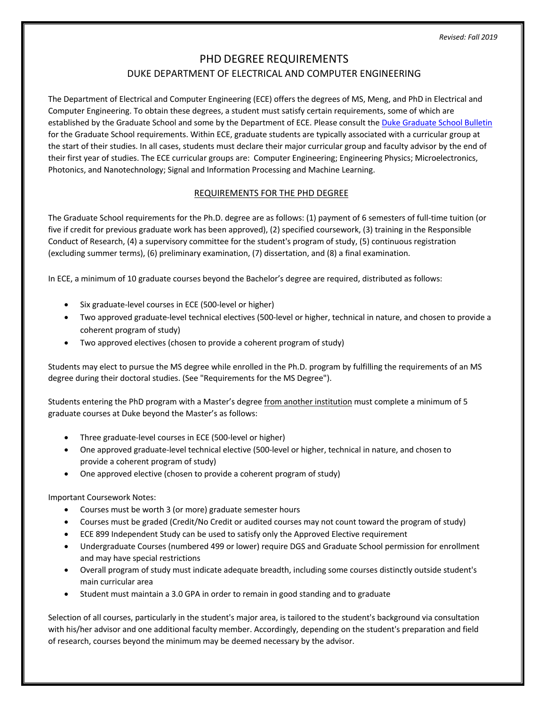# PHD DEGREE REQUIREMENTS DUKE DEPARTMENT OF ELECTRICAL AND COMPUTER ENGINEERING

The Department of Electrical and Computer Engineering (ECE) offers the degrees of MS, Meng, and PhD in Electrical and Computer Engineering. To obtain these degrees, a student must satisfy certain requirements, some of which are established by the Graduate School and some by the Department of ECE. Please consult the Duke Graduate School Bulletin for the Graduate School requirements. Within ECE, graduate students are typically associated with a curricular group at the start of their studies. In all cases, students must declare their major curricular group and faculty advisor by the end of their first year of studies. The ECE curricular groups are: Computer Engineering; Engineering Physics; Microelectronics, Photonics, and Nanotechnology; Signal and Information Processing and Machine Learning.

# REQUIREMENTS FOR THE PHD DEGREE

The Graduate School requirements for the Ph.D. degree are as follows: (1) payment of 6 semesters of full-time tuition (or five if credit for previous graduate work has been approved), (2) specified coursework, (3) training in the Responsible Conduct of Research, (4) a supervisory committee for the student's program of study, (5) continuous registration (excluding summer terms), (6) preliminary examination, (7) dissertation, and (8) a final examination.

In ECE, a minimum of 10 graduate courses beyond the Bachelor's degree are required, distributed as follows:

- Six graduate-level courses in ECE (500-level or higher)
- Two approved graduate-level technical electives (500-level or higher, technical in nature, and chosen to provide a coherent program of study)
- Two approved electives (chosen to provide a coherent program of study)

Students may elect to pursue the MS degree while enrolled in the Ph.D. program by fulfilling the requirements of an MS degree during their doctoral studies. (See "Requirements for the MS Degree").

Students entering the PhD program with a Master's degree from another institution must complete a minimum of 5 graduate courses at Duke beyond the Master's as follows:

- Three graduate-level courses in ECE (500-level or higher)
- One approved graduate-level technical elective (500-level or higher, technical in nature, and chosen to provide a coherent program of study)
- One approved elective (chosen to provide a coherent program of study)

Important Coursework Notes:

- Courses must be worth 3 (or more) graduate semester hours
- Courses must be graded (Credit/No Credit or audited courses may not count toward the program of study)
- ECE 899 Independent Study can be used to satisfy only the Approved Elective requirement
- Undergraduate Courses (numbered 499 or lower) require DGS and Graduate School permission for enrollment and may have special restrictions
- Overall program of study must indicate adequate breadth, including some courses distinctly outside student's main curricular area
- Student must maintain a 3.0 GPA in order to remain in good standing and to graduate

Selection of all courses, particularly in the student's major area, is tailored to the student's background via consultation with his/her advisor and one additional faculty member. Accordingly, depending on the student's preparation and field of research, courses beyond the minimum may be deemed necessary by the advisor.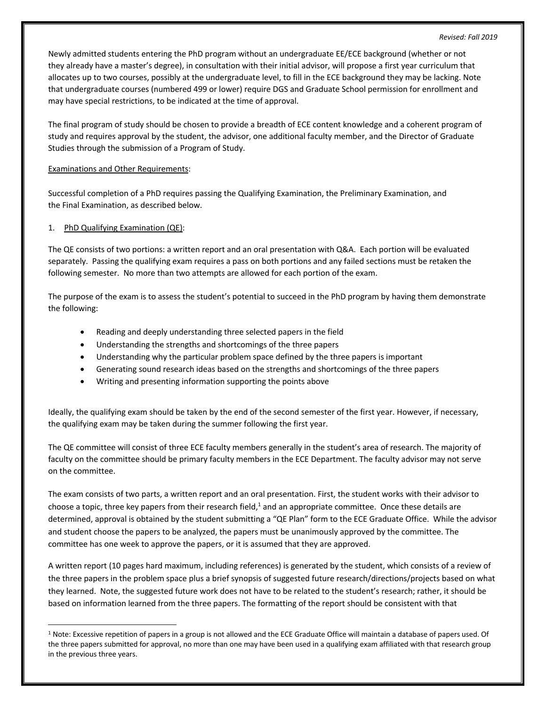Newly admitted students entering the PhD program without an undergraduate EE/ECE background (whether or not they already have a master's degree), in consultation with their initial advisor, will propose a first year curriculum that allocates up to two courses, possibly at the undergraduate level, to fill in the ECE background they may be lacking. Note that undergraduate courses (numbered 499 or lower) require DGS and Graduate School permission for enrollment and may have special restrictions, to be indicated at the time of approval.

The final program of study should be chosen to provide a breadth of ECE content knowledge and a coherent program of study and requires approval by the student, the advisor, one additional faculty member, and the Director of Graduate Studies through the submission of a Program of Study.

## Examinations and Other Requirements:

Successful completion of a PhD requires passing the Qualifying Examination, the Preliminary Examination, and the Final Examination, as described below.

#### 1. PhD Qualifying Examination (QE):

The QE consists of two portions: a written report and an oral presentation with Q&A. Each portion will be evaluated separately. Passing the qualifying exam requires a pass on both portions and any failed sections must be retaken the following semester. No more than two attempts are allowed for each portion of the exam.

The purpose of the exam is to assess the student's potential to succeed in the PhD program by having them demonstrate the following:

- Reading and deeply understanding three selected papers in the field
- Understanding the strengths and shortcomings of the three papers
- Understanding why the particular problem space defined by the three papers is important
- Generating sound research ideas based on the strengths and shortcomings of the three papers
- Writing and presenting information supporting the points above

Ideally, the qualifying exam should be taken by the end of the second semester of the first year. However, if necessary, the qualifying exam may be taken during the summer following the first year.

The QE committee will consist of three ECE faculty members generally in the student's area of research. The majority of faculty on the committee should be primary faculty members in the ECE Department. The faculty advisor may not serve on the committee.

The exam consists of two parts, a written report and an oral presentation. First, the student works with their advisor to choose a topic, three key papers from their research field, $^1$  and an appropriate committee. Once these details are determined, approval is obtained by the student submitting a "QE Plan" form to the ECE Graduate Office. While the advisor and student choose the papers to be analyzed, the papers must be unanimously approved by the committee. The committee has one week to approve the papers, or it is assumed that they are approved.

A written report (10 pages hard maximum, including references) is generated by the student, which consists of a review of the three papers in the problem space plus a brief synopsis of suggested future research/directions/projects based on what they learned. Note, the suggested future work does not have to be related to the student's research; rather, it should be based on information learned from the three papers. The formatting of the report should be consistent with that

 $1$  Note: Excessive repetition of papers in a group is not allowed and the ECE Graduate Office will maintain a database of papers used. Of the three papers submitted for approval, no more than one may have been used in a qualifying exam affiliated with that research group in the previous three years.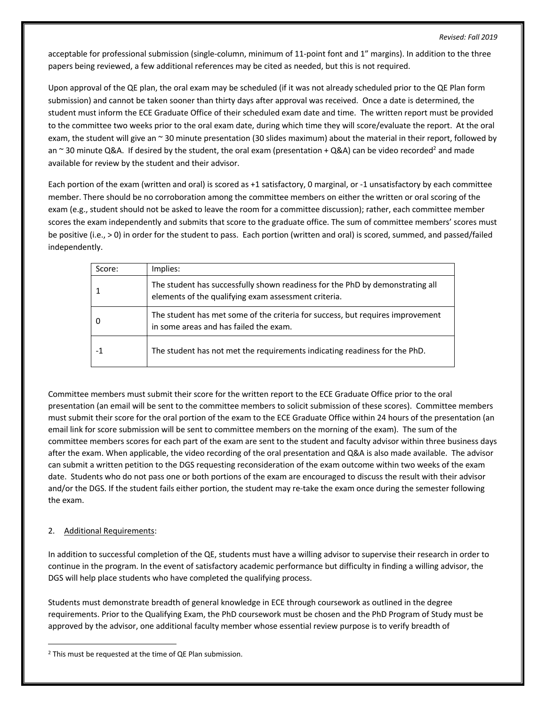acceptable for professional submission (single-column, minimum of 11-point font and 1" margins). In addition to the three papers being reviewed, a few additional references may be cited as needed, but this is not required.

Upon approval of the QE plan, the oral exam may be scheduled (if it was not already scheduled prior to the QE Plan form submission) and cannot be taken sooner than thirty days after approval was received. Once a date is determined, the student must inform the ECE Graduate Office of their scheduled exam date and time. The written report must be provided to the committee two weeks prior to the oral exam date, during which time they will score/evaluate the report. At the oral exam, the student will give an ~ 30 minute presentation (30 slides maximum) about the material in their report, followed by an  $\sim$  30 minute Q&A. If desired by the student, the oral exam (presentation + Q&A) can be video recorded<sup>2</sup> and made available for review by the student and their advisor.

Each portion of the exam (written and oral) is scored as +1 satisfactory, 0 marginal, or -1 unsatisfactory by each committee member. There should be no corroboration among the committee members on either the written or oral scoring of the exam (e.g., student should not be asked to leave the room for a committee discussion); rather, each committee member scores the exam independently and submits that score to the graduate office. The sum of committee members' scores must be positive (i.e., > 0) in order for the student to pass. Each portion (written and oral) is scored, summed, and passed/failed independently.

| Score: | Implies:                                                                                                                              |
|--------|---------------------------------------------------------------------------------------------------------------------------------------|
|        | The student has successfully shown readiness for the PhD by demonstrating all<br>elements of the qualifying exam assessment criteria. |
|        | The student has met some of the criteria for success, but requires improvement<br>in some areas and has failed the exam.              |
|        | The student has not met the requirements indicating readiness for the PhD.                                                            |

Committee members must submit their score for the written report to the ECE Graduate Office prior to the oral presentation (an email will be sent to the committee members to solicit submission of these scores). Committee members must submit their score for the oral portion of the exam to the ECE Graduate Office within 24 hours of the presentation (an email link for score submission will be sent to committee members on the morning of the exam). The sum of the committee members scores for each part of the exam are sent to the student and faculty advisor within three business days after the exam. When applicable, the video recording of the oral presentation and Q&A is also made available. The advisor can submit a written petition to the DGS requesting reconsideration of the exam outcome within two weeks of the exam date. Students who do not pass one or both portions of the exam are encouraged to discuss the result with their advisor and/or the DGS. If the student fails either portion, the student may re-take the exam once during the semester following the exam.

# 2. Additional Requirements:

In addition to successful completion of the QE, students must have a willing advisor to supervise their research in order to continue in the program. In the event of satisfactory academic performance but difficulty in finding a willing advisor, the DGS will help place students who have completed the qualifying process.

Students must demonstrate breadth of general knowledge in ECE through coursework as outlined in the degree requirements. Prior to the Qualifying Exam, the PhD coursework must be chosen and the PhD Program of Study must be approved by the advisor, one additional faculty member whose essential review purpose is to verify breadth of

 <sup>2</sup> This must be requested at the time of QE Plan submission.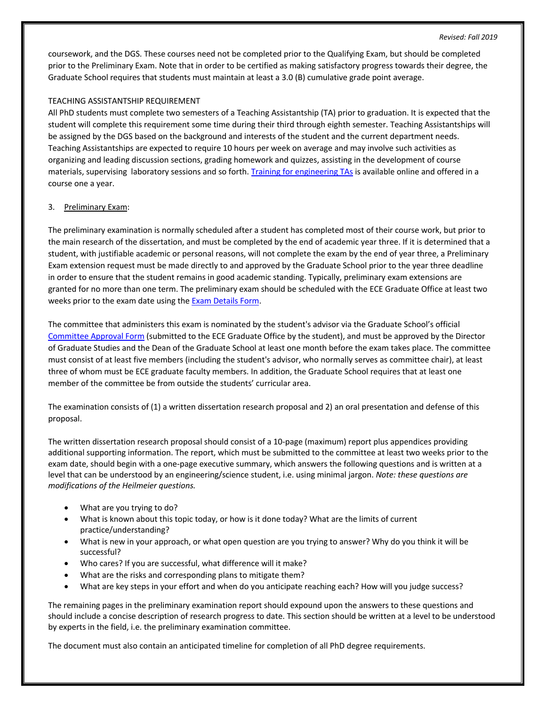coursework, and the DGS. These courses need not be completed prior to the Qualifying Exam, but should be completed prior to the Preliminary Exam. Note that in order to be certified as making satisfactory progress towards their degree, the Graduate School requires that students must maintain at least a 3.0 (B) cumulative grade point average.

## TEACHING ASSISTANTSHIP REQUIREMENT

All PhD students must complete two semesters of a Teaching Assistantship (TA) prior to graduation. It is expected that the student will complete this requirement some time during their third through eighth semester. Teaching Assistantships will be assigned by the DGS based on the background and interests of the student and the current department needs. Teaching Assistantships are expected to require 10 hours per week on average and may involve such activities as organizing and leading discussion sections, grading homework and quizzes, assisting in the development of course materials, supervising laboratory sessions and so forth. Training for engineering TAs is available online and offered in a course one a year.

#### 3. Preliminary Exam:

The preliminary examination is normally scheduled after a student has completed most of their course work, but prior to the main research of the dissertation, and must be completed by the end of academic year three. If it is determined that a student, with justifiable academic or personal reasons, will not complete the exam by the end of year three, a Preliminary Exam extension request must be made directly to and approved by the Graduate School prior to the year three deadline in order to ensure that the student remains in good academic standing. Typically, preliminary exam extensions are granted for no more than one term. The preliminary exam should be scheduled with the ECE Graduate Office at least two weeks prior to the exam date using the Exam Details Form.

The committee that administers this exam is nominated by the student's advisor via the Graduate School's official Committee Approval Form (submitted to the ECE Graduate Office by the student), and must be approved by the Director of Graduate Studies and the Dean of the Graduate School at least one month before the exam takes place. The committee must consist of at least five members (including the student's advisor, who normally serves as committee chair), at least three of whom must be ECE graduate faculty members. In addition, the Graduate School requires that at least one member of the committee be from outside the students' curricular area.

The examination consists of (1) a written dissertation research proposal and 2) an oral presentation and defense of this proposal.

The written dissertation research proposal should consist of a 10-page (maximum) report plus appendices providing additional supporting information. The report, which must be submitted to the committee at least two weeks prior to the exam date, should begin with a one-page executive summary, which answers the following questions and is written at a level that can be understood by an engineering/science student, i.e. using minimal jargon. *Note: these questions are modifications of the Heilmeier questions.*

- What are you trying to do?
- What is known about this topic today, or how is it done today? What are the limits of current practice/understanding?
- What is new in your approach, or what open question are you trying to answer? Why do you think it will be successful?
- Who cares? If you are successful, what difference will it make?
- What are the risks and corresponding plans to mitigate them?
- What are key steps in your effort and when do you anticipate reaching each? How will you judge success?

The remaining pages in the preliminary examination report should expound upon the answers to these questions and should include a concise description of research progress to date. This section should be written at a level to be understood by experts in the field, i.e. the preliminary examination committee.

The document must also contain an anticipated timeline for completion of all PhD degree requirements.